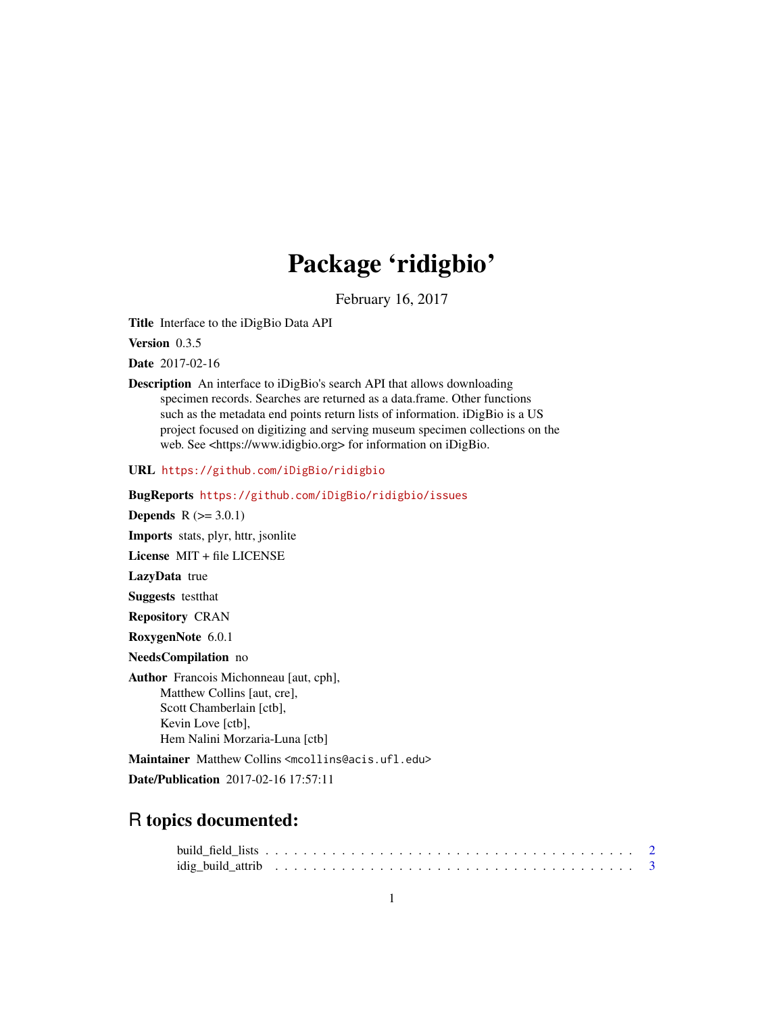# Package 'ridigbio'

February 16, 2017

Title Interface to the iDigBio Data API

Version 0.3.5

Date 2017-02-16

Description An interface to iDigBio's search API that allows downloading specimen records. Searches are returned as a data.frame. Other functions such as the metadata end points return lists of information. iDigBio is a US project focused on digitizing and serving museum specimen collections on the web. See <https://www.idigbio.org> for information on iDigBio.

URL <https://github.com/iDigBio/ridigbio>

BugReports <https://github.com/iDigBio/ridigbio/issues>

**Depends**  $R (= 3.0.1)$ Imports stats, plyr, httr, jsonlite License MIT + file LICENSE LazyData true

Suggests testthat

Repository CRAN

RoxygenNote 6.0.1

NeedsCompilation no

Author Francois Michonneau [aut, cph], Matthew Collins [aut, cre], Scott Chamberlain [ctb], Kevin Love [ctb], Hem Nalini Morzaria-Luna [ctb]

Maintainer Matthew Collins <mcollins@acis.ufl.edu>

Date/Publication 2017-02-16 17:57:11

# R topics documented: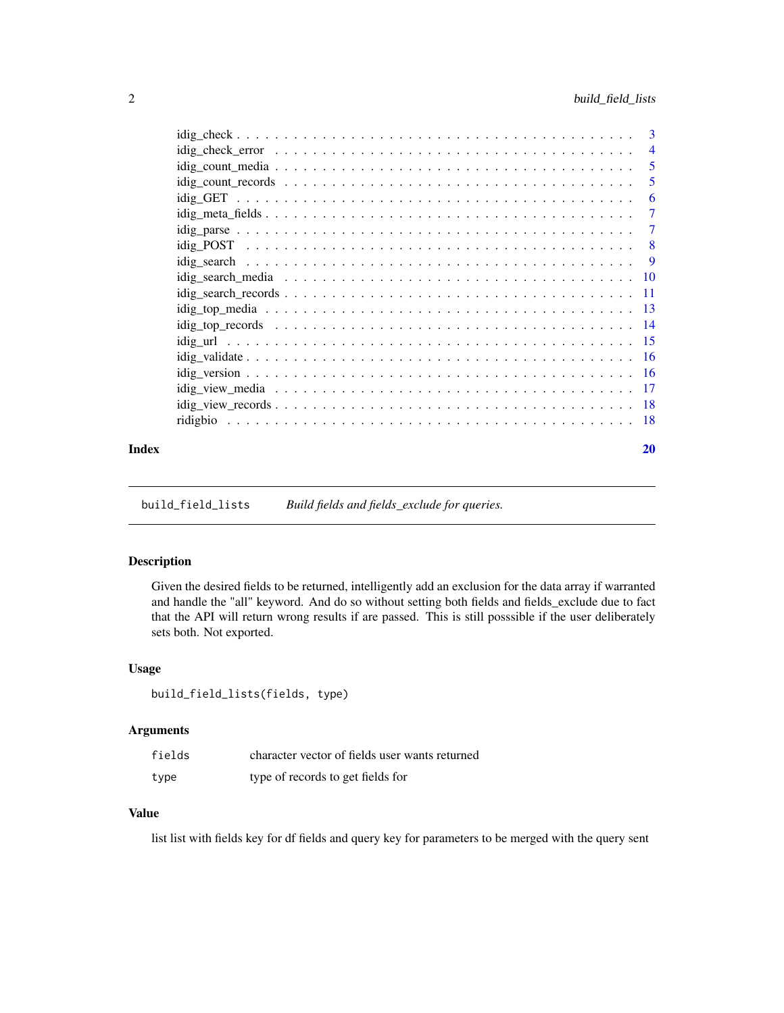<span id="page-1-0"></span>

|       |                                                                                                                    | -6             |
|-------|--------------------------------------------------------------------------------------------------------------------|----------------|
|       | $idig_meta_fields \dots \dots \dots \dots \dots \dots \dots \dots \dots \dots \dots \dots \dots \dots \dots \dots$ | $\overline{7}$ |
|       |                                                                                                                    |                |
|       |                                                                                                                    |                |
|       |                                                                                                                    |                |
|       |                                                                                                                    |                |
|       |                                                                                                                    |                |
|       |                                                                                                                    |                |
|       |                                                                                                                    |                |
|       |                                                                                                                    |                |
|       |                                                                                                                    |                |
|       |                                                                                                                    |                |
|       |                                                                                                                    |                |
|       |                                                                                                                    |                |
|       |                                                                                                                    |                |
| Index |                                                                                                                    | 20             |

build\_field\_lists *Build fields and fields\_exclude for queries.*

#### Description

Given the desired fields to be returned, intelligently add an exclusion for the data array if warranted and handle the "all" keyword. And do so without setting both fields and fields\_exclude due to fact that the API will return wrong results if are passed. This is still posssible if the user deliberately sets both. Not exported.

#### Usage

```
build_field_lists(fields, type)
```
#### Arguments

| fields | character vector of fields user wants returned |
|--------|------------------------------------------------|
| type   | type of records to get fields for              |

#### Value

list list with fields key for df fields and query key for parameters to be merged with the query sent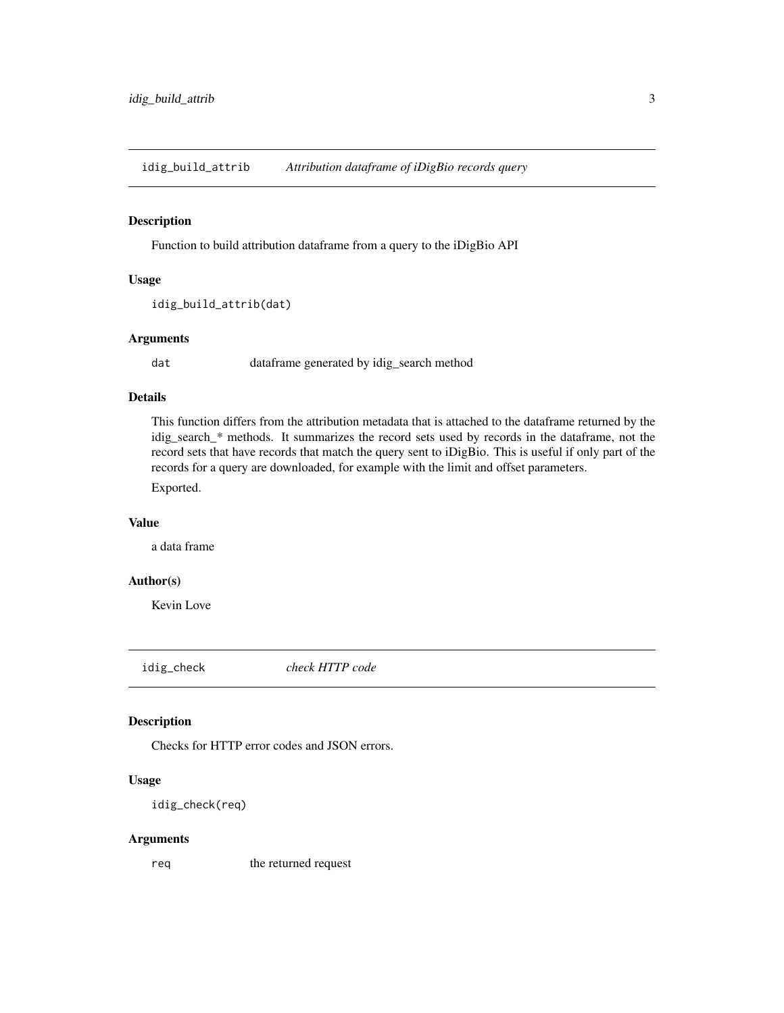<span id="page-2-0"></span>idig\_build\_attrib *Attribution dataframe of iDigBio records query*

#### Description

Function to build attribution dataframe from a query to the iDigBio API

#### Usage

```
idig_build_attrib(dat)
```
#### Arguments

dat dataframe generated by idig\_search method

#### Details

This function differs from the attribution metadata that is attached to the dataframe returned by the idig\_search\_\* methods. It summarizes the record sets used by records in the dataframe, not the record sets that have records that match the query sent to iDigBio. This is useful if only part of the records for a query are downloaded, for example with the limit and offset parameters.

Exported.

#### Value

a data frame

#### Author(s)

Kevin Love

idig\_check *check HTTP code*

#### Description

Checks for HTTP error codes and JSON errors.

#### Usage

idig\_check(req)

#### Arguments

req the returned request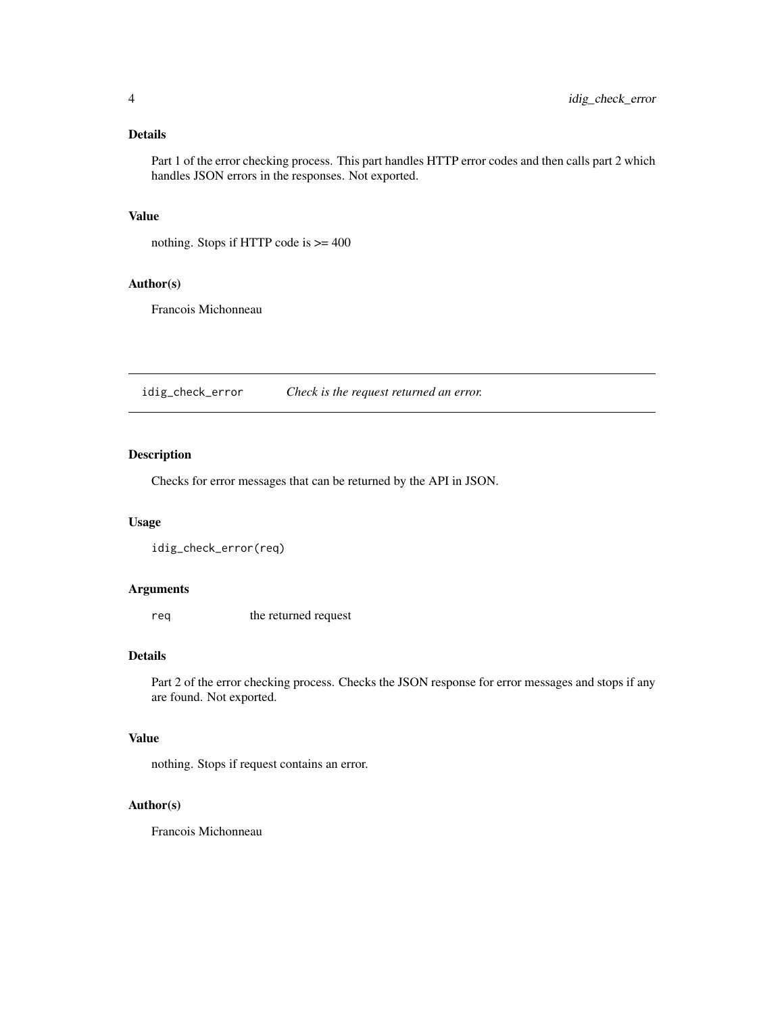# <span id="page-3-0"></span>Details

Part 1 of the error checking process. This part handles HTTP error codes and then calls part 2 which handles JSON errors in the responses. Not exported.

#### Value

nothing. Stops if HTTP code is >= 400

#### Author(s)

Francois Michonneau

idig\_check\_error *Check is the request returned an error.*

#### Description

Checks for error messages that can be returned by the API in JSON.

#### Usage

```
idig_check_error(req)
```
#### Arguments

req the returned request

# Details

Part 2 of the error checking process. Checks the JSON response for error messages and stops if any are found. Not exported.

#### Value

nothing. Stops if request contains an error.

#### Author(s)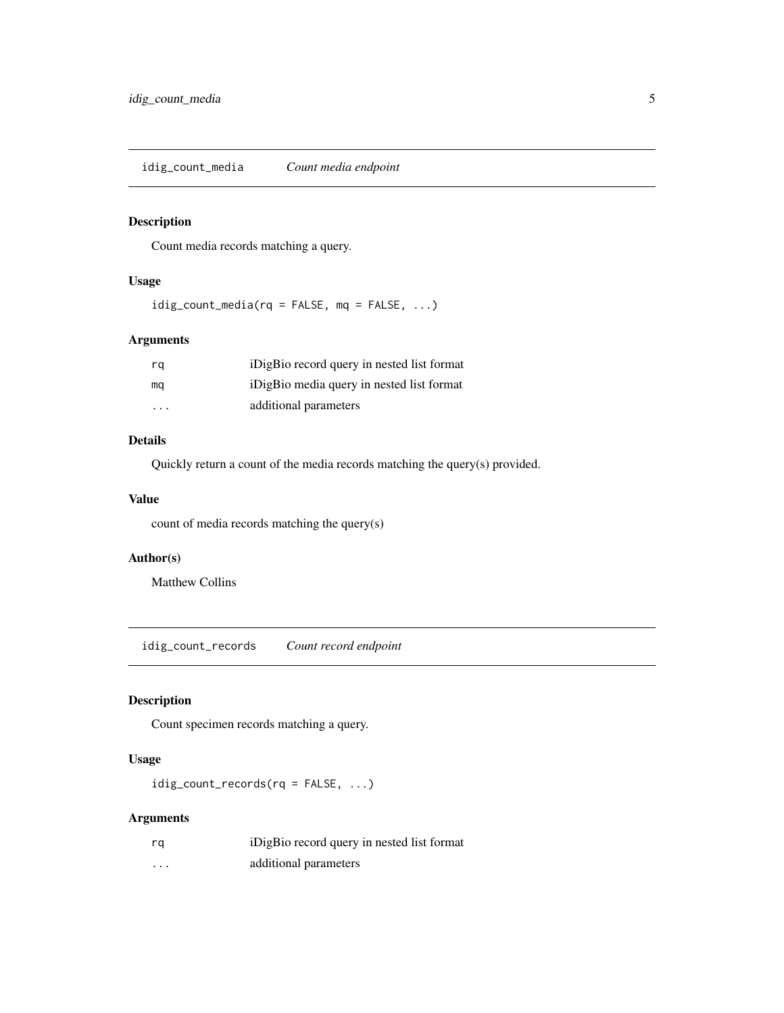<span id="page-4-2"></span><span id="page-4-0"></span>idig\_count\_media *Count media endpoint*

#### Description

Count media records matching a query.

#### Usage

 $idig_count_media(rq = FALSE, mq = FALSE, ...)$ 

#### Arguments

| rq                      | iDigBio record query in nested list format |
|-------------------------|--------------------------------------------|
| mq                      | iDigBio media query in nested list format  |
| $\cdot$ $\cdot$ $\cdot$ | additional parameters                      |

#### Details

Quickly return a count of the media records matching the query(s) provided.

#### Value

count of media records matching the query(s)

#### Author(s)

Matthew Collins

<span id="page-4-1"></span>idig\_count\_records *Count record endpoint*

#### Description

Count specimen records matching a query.

# Usage

```
idig_count_records(rq = FALSE, ...)
```
#### Arguments

| rq                | iDigBio record query in nested list format |
|-------------------|--------------------------------------------|
| $\cdot\cdot\cdot$ | additional parameters                      |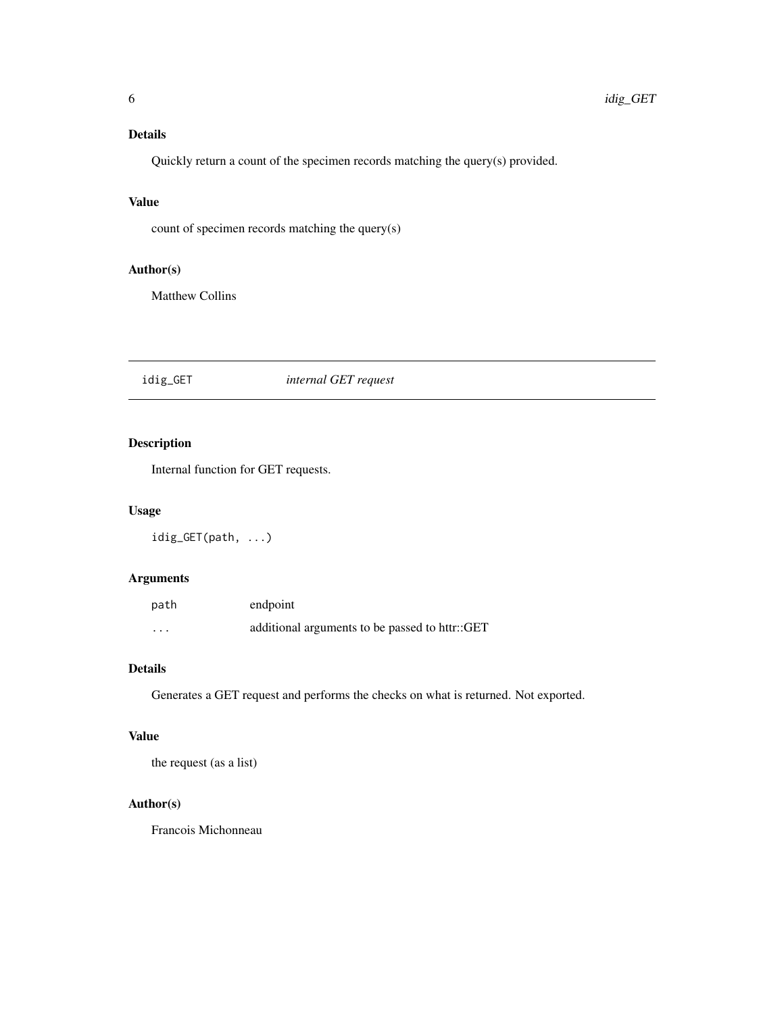# <span id="page-5-0"></span>Details

Quickly return a count of the specimen records matching the query(s) provided.

#### Value

count of specimen records matching the query(s)

# Author(s)

Matthew Collins

# idig\_GET *internal GET request*

# Description

Internal function for GET requests.

#### Usage

idig\_GET(path, ...)

#### Arguments

| path     | endpoint                                       |
|----------|------------------------------------------------|
| $\cdots$ | additional arguments to be passed to httr::GET |

#### Details

Generates a GET request and performs the checks on what is returned. Not exported.

#### Value

the request (as a list)

#### Author(s)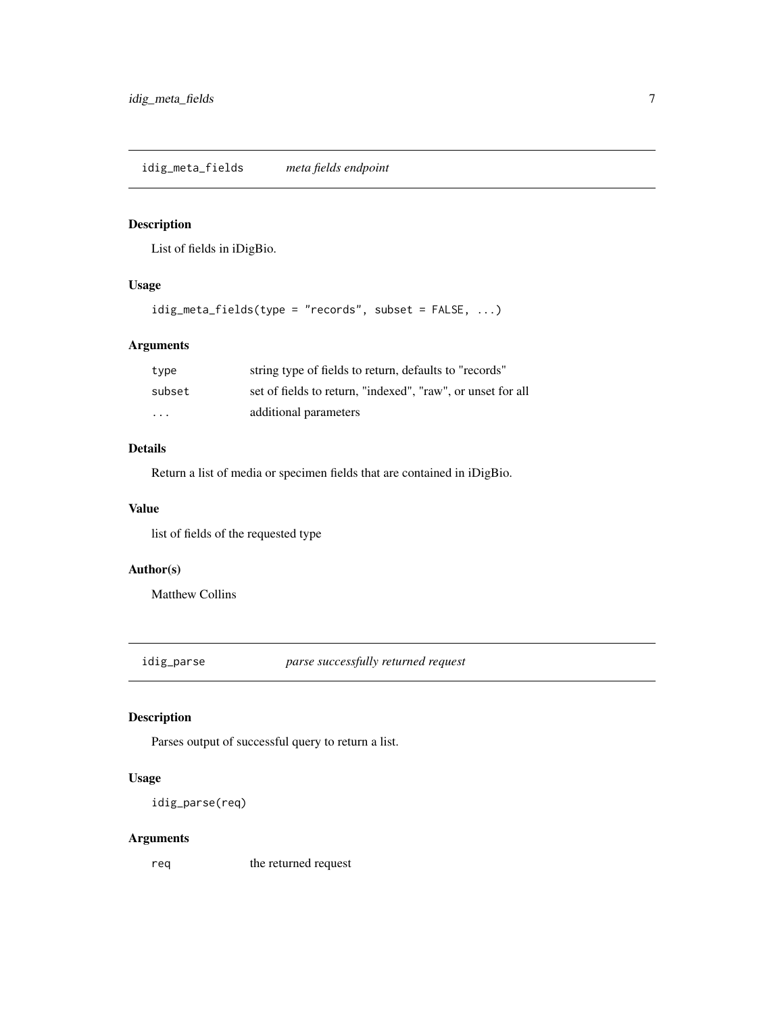<span id="page-6-0"></span>idig\_meta\_fields *meta fields endpoint*

#### Description

List of fields in iDigBio.

#### Usage

idig\_meta\_fields(type = "records", subset = FALSE, ...)

# Arguments

| type                    | string type of fields to return, defaults to "records"      |
|-------------------------|-------------------------------------------------------------|
| subset                  | set of fields to return, "indexed", "raw", or unset for all |
| $\cdot$ $\cdot$ $\cdot$ | additional parameters                                       |

#### Details

Return a list of media or specimen fields that are contained in iDigBio.

#### Value

list of fields of the requested type

# Author(s)

Matthew Collins

idig\_parse *parse successfully returned request*

# Description

Parses output of successful query to return a list.

# Usage

```
idig_parse(req)
```
#### Arguments

req the returned request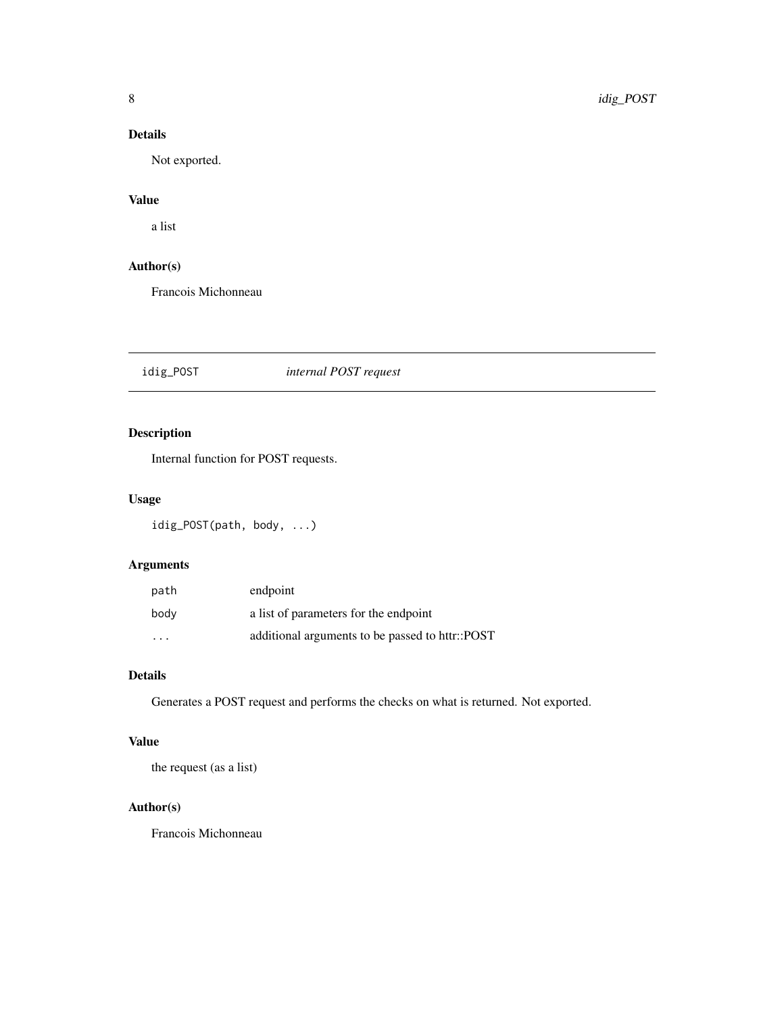# <span id="page-7-0"></span>Details

Not exported.

# Value

a list

# Author(s)

Francois Michonneau

idig\_POST *internal POST request*

# Description

Internal function for POST requests.

# Usage

idig\_POST(path, body, ...)

# Arguments

| path                    | endpoint                                        |
|-------------------------|-------------------------------------------------|
| body                    | a list of parameters for the endpoint           |
| $\cdot$ $\cdot$ $\cdot$ | additional arguments to be passed to httr::POST |

# Details

Generates a POST request and performs the checks on what is returned. Not exported.

# Value

the request (as a list)

#### Author(s)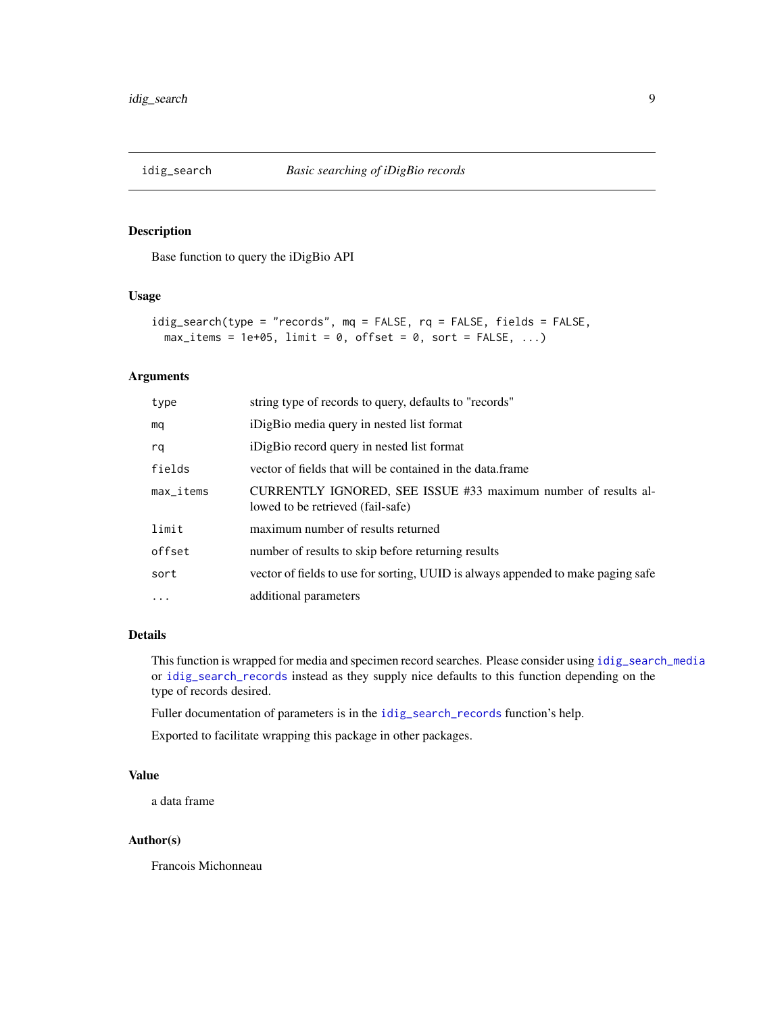<span id="page-8-1"></span><span id="page-8-0"></span>

#### Description

Base function to query the iDigBio API

#### Usage

```
idig_search(type = "records", mq = FALSE, rq = FALSE, fields = FALSE,
 max\_items = 1e+05, limit = 0, offset = 0, sort = FALSE, ...)
```
#### Arguments

| type                                 | string type of records to query, defaults to "records"                                              |
|--------------------------------------|-----------------------------------------------------------------------------------------------------|
| mq                                   | iDigBio media query in nested list format                                                           |
| rq                                   | iDigBio record query in nested list format                                                          |
| fields                               | vector of fields that will be contained in the data.frame                                           |
| $max$ <sub><math>-</math>items</sub> | CURRENTLY IGNORED, SEE ISSUE #33 maximum number of results al-<br>lowed to be retrieved (fail-safe) |
| limit                                | maximum number of results returned                                                                  |
| offset                               | number of results to skip before returning results                                                  |
| sort                                 | vector of fields to use for sorting, UUID is always appended to make paging safe                    |
| $\ddots$                             | additional parameters                                                                               |

#### Details

This function is wrapped for media and specimen record searches. Please consider using [idig\\_search\\_media](#page-9-1) or [idig\\_search\\_records](#page-10-1) instead as they supply nice defaults to this function depending on the type of records desired.

Fuller documentation of parameters is in the [idig\\_search\\_records](#page-10-1) function's help.

Exported to facilitate wrapping this package in other packages.

# Value

a data frame

#### Author(s)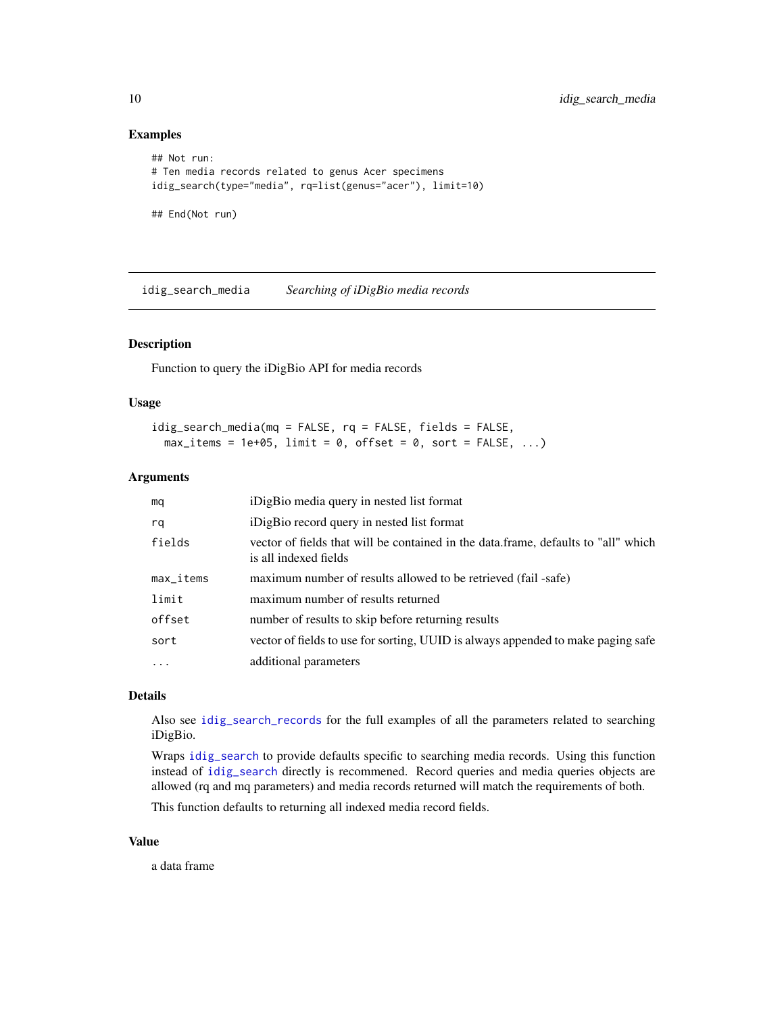#### Examples

```
## Not run:
# Ten media records related to genus Acer specimens
idig_search(type="media", rq=list(genus="acer"), limit=10)
## End(Not run)
```
<span id="page-9-1"></span>idig\_search\_media *Searching of iDigBio media records*

# Description

Function to query the iDigBio API for media records

#### Usage

```
idig_search_media(mq = FALSE, rq = FALSE, fields = FALSE,
 max\_items = 1e+05, limit = 0, offset = 0, sort = FALSE, ...)
```
#### Arguments

| mq                      | iDigBio media query in nested list format                                                                   |
|-------------------------|-------------------------------------------------------------------------------------------------------------|
| rq                      | iDigBio record query in nested list format                                                                  |
| fields                  | vector of fields that will be contained in the data.frame, defaults to "all" which<br>is all indexed fields |
| $max$ <sub>Litems</sub> | maximum number of results allowed to be retrieved (fail -safe)                                              |
| limit                   | maximum number of results returned                                                                          |
| offset                  | number of results to skip before returning results                                                          |
| sort                    | vector of fields to use for sorting, UUID is always appended to make paging safe                            |
| $\cdots$                | additional parameters                                                                                       |

# Details

Also see [idig\\_search\\_records](#page-10-1) for the full examples of all the parameters related to searching iDigBio.

Wraps [idig\\_search](#page-8-1) to provide defaults specific to searching media records. Using this function instead of [idig\\_search](#page-8-1) directly is recommened. Record queries and media queries objects are allowed (rq and mq parameters) and media records returned will match the requirements of both.

This function defaults to returning all indexed media record fields.

#### Value

a data frame

<span id="page-9-0"></span>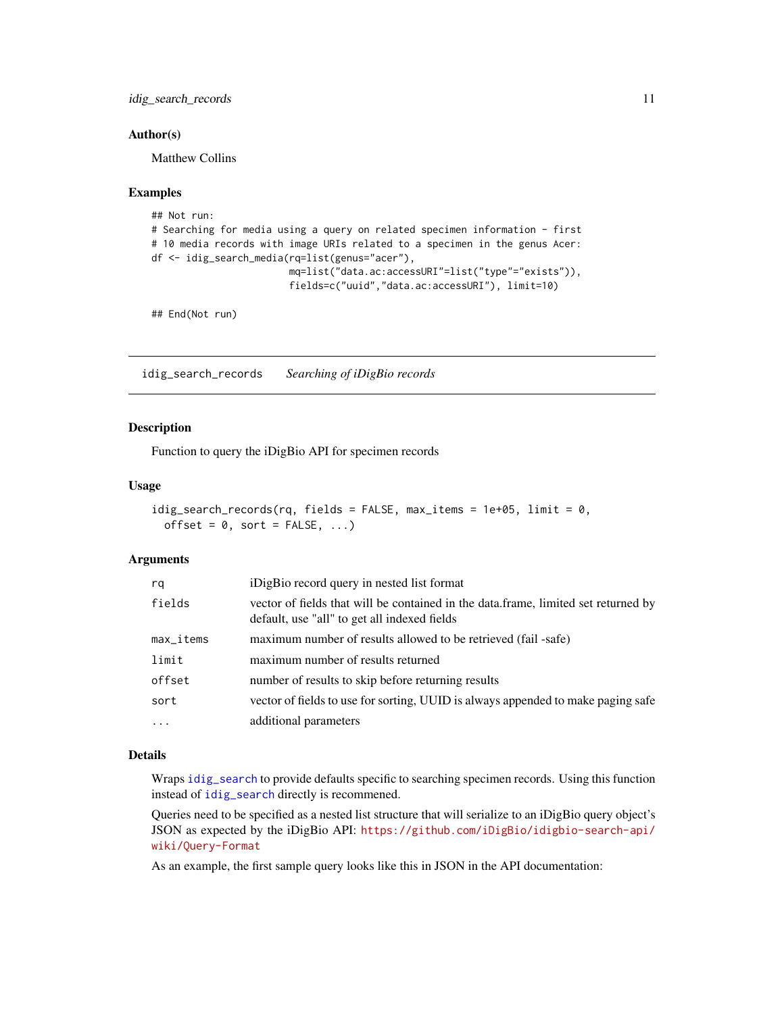<span id="page-10-0"></span>idig\_search\_records 11

#### Author(s)

Matthew Collins

#### Examples

```
## Not run:
# Searching for media using a query on related specimen information - first
# 10 media records with image URIs related to a specimen in the genus Acer:
df <- idig_search_media(rq=list(genus="acer"),
                       mq=list("data.ac:accessURI"=list("type"="exists")),
                        fields=c("uuid","data.ac:accessURI"), limit=10)
```
## End(Not run)

<span id="page-10-1"></span>idig\_search\_records *Searching of iDigBio records*

#### Description

Function to query the iDigBio API for specimen records

#### Usage

```
idig_search_records(rq, fields = FALSE, max_items = 1e+05, limit = 0,
 offset = 0, sort = FALSE, ...)
```
#### Arguments

| rq        | iDigBio record query in nested list format                                                                                         |
|-----------|------------------------------------------------------------------------------------------------------------------------------------|
| fields    | vector of fields that will be contained in the data.frame, limited set returned by<br>default, use "all" to get all indexed fields |
| max_items | maximum number of results allowed to be retrieved (fail -safe)                                                                     |
| limit     | maximum number of results returned                                                                                                 |
| offset    | number of results to skip before returning results                                                                                 |
| sort      | vector of fields to use for sorting, UUID is always appended to make paging safe                                                   |
| $\cdots$  | additional parameters                                                                                                              |

#### Details

Wraps [idig\\_search](#page-8-1) to provide defaults specific to searching specimen records. Using this function instead of [idig\\_search](#page-8-1) directly is recommened.

Queries need to be specified as a nested list structure that will serialize to an iDigBio query object's JSON as expected by the iDigBio API: [https://github.com/iDigBio/idigbio-search-api/](https://github.com/iDigBio/idigbio-search-api/wiki/Query-Format) [wiki/Query-Format](https://github.com/iDigBio/idigbio-search-api/wiki/Query-Format)

As an example, the first sample query looks like this in JSON in the API documentation: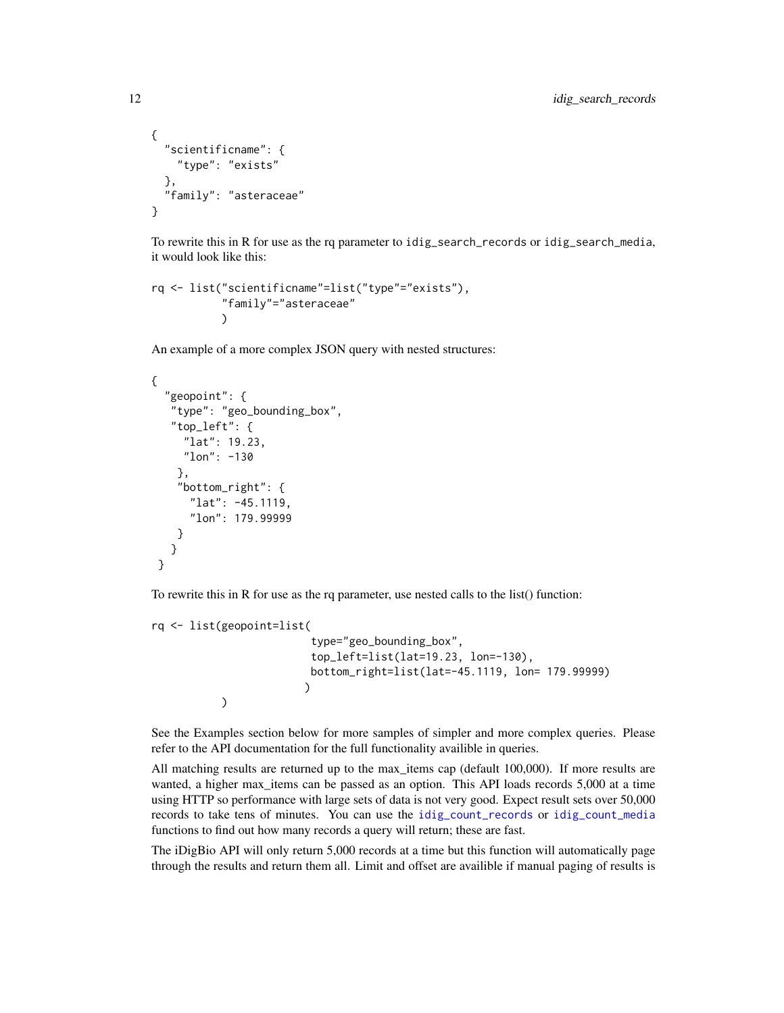```
{
  "scientificname": {
    "type": "exists"
  },
  "family": "asteraceae"
}
```
To rewrite this in R for use as the rq parameter to idig\_search\_records or idig\_search\_media, it would look like this:

```
rq <- list("scientificname"=list("type"="exists"),
            "family"="asteraceae"
           \lambda
```
An example of a more complex JSON query with nested structures:

```
{
  "geopoint": {
   "type": "geo_bounding_box",
   "top_left": {
     "lat": 19.23,
     "lon": -130
    },
    "bottom_right": {
      "lat": -45.1119,
      "lon": 179.99999
    }
   }
}
```
To rewrite this in R for use as the rq parameter, use nested calls to the list() function:

```
rq <- list(geopoint=list(
                         type="geo_bounding_box",
                         top_left=list(lat=19.23, lon=-130),
                         bottom_right=list(lat=-45.1119, lon= 179.99999)
                        )
           )
```
See the Examples section below for more samples of simpler and more complex queries. Please refer to the API documentation for the full functionality availible in queries.

All matching results are returned up to the max\_items cap (default 100,000). If more results are wanted, a higher max\_items can be passed as an option. This API loads records 5,000 at a time using HTTP so performance with large sets of data is not very good. Expect result sets over 50,000 records to take tens of minutes. You can use the [idig\\_count\\_records](#page-4-1) or [idig\\_count\\_media](#page-4-2) functions to find out how many records a query will return; these are fast.

The iDigBio API will only return 5,000 records at a time but this function will automatically page through the results and return them all. Limit and offset are availible if manual paging of results is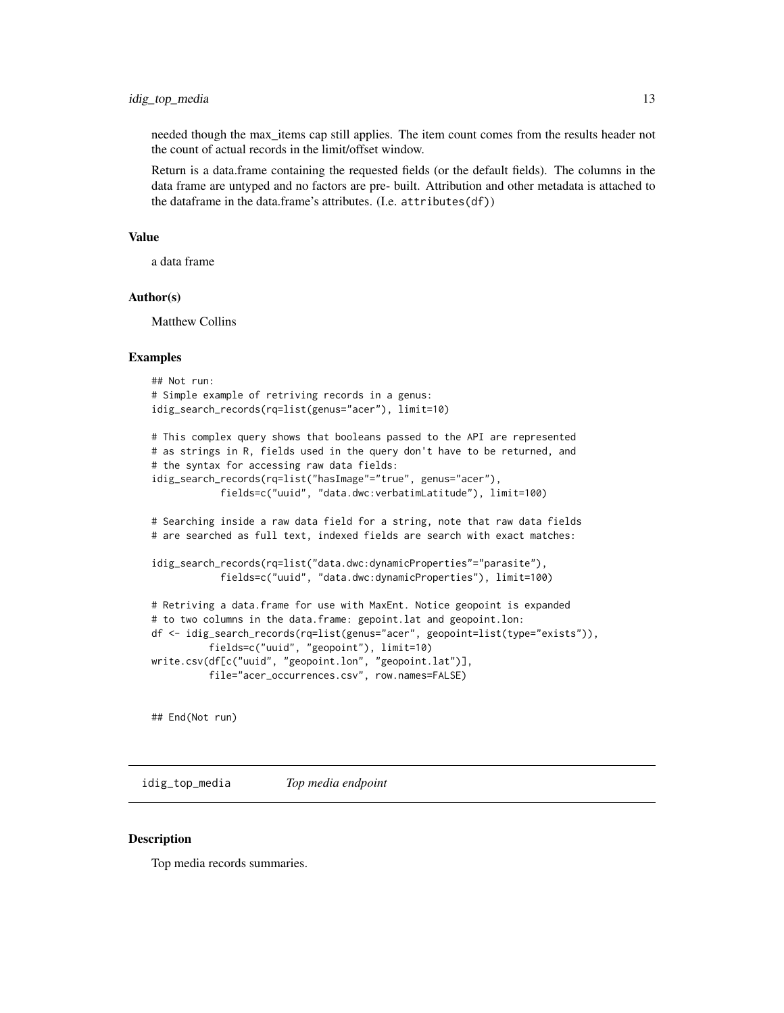<span id="page-12-0"></span>needed though the max\_items cap still applies. The item count comes from the results header not the count of actual records in the limit/offset window.

Return is a data.frame containing the requested fields (or the default fields). The columns in the data frame are untyped and no factors are pre- built. Attribution and other metadata is attached to the dataframe in the data.frame's attributes. (I.e. attributes(df))

#### Value

a data frame

#### Author(s)

Matthew Collins

#### Examples

```
## Not run:
# Simple example of retriving records in a genus:
idig_search_records(rq=list(genus="acer"), limit=10)
```

```
# This complex query shows that booleans passed to the API are represented
# as strings in R, fields used in the query don't have to be returned, and
# the syntax for accessing raw data fields:
idig_search_records(rq=list("hasImage"="true", genus="acer"),
           fields=c("uuid", "data.dwc:verbatimLatitude"), limit=100)
```
# Searching inside a raw data field for a string, note that raw data fields # are searched as full text, indexed fields are search with exact matches:

```
idig_search_records(rq=list("data.dwc:dynamicProperties"="parasite"),
           fields=c("uuid", "data.dwc:dynamicProperties"), limit=100)
```

```
# Retriving a data.frame for use with MaxEnt. Notice geopoint is expanded
# to two columns in the data.frame: gepoint.lat and geopoint.lon:
df <- idig_search_records(rq=list(genus="acer", geopoint=list(type="exists")),
          fields=c("uuid", "geopoint"), limit=10)
write.csv(df[c("uuid", "geopoint.lon", "geopoint.lat")],
          file="acer_occurrences.csv", row.names=FALSE)
```
## End(Not run)

idig\_top\_media *Top media endpoint*

#### Description

Top media records summaries.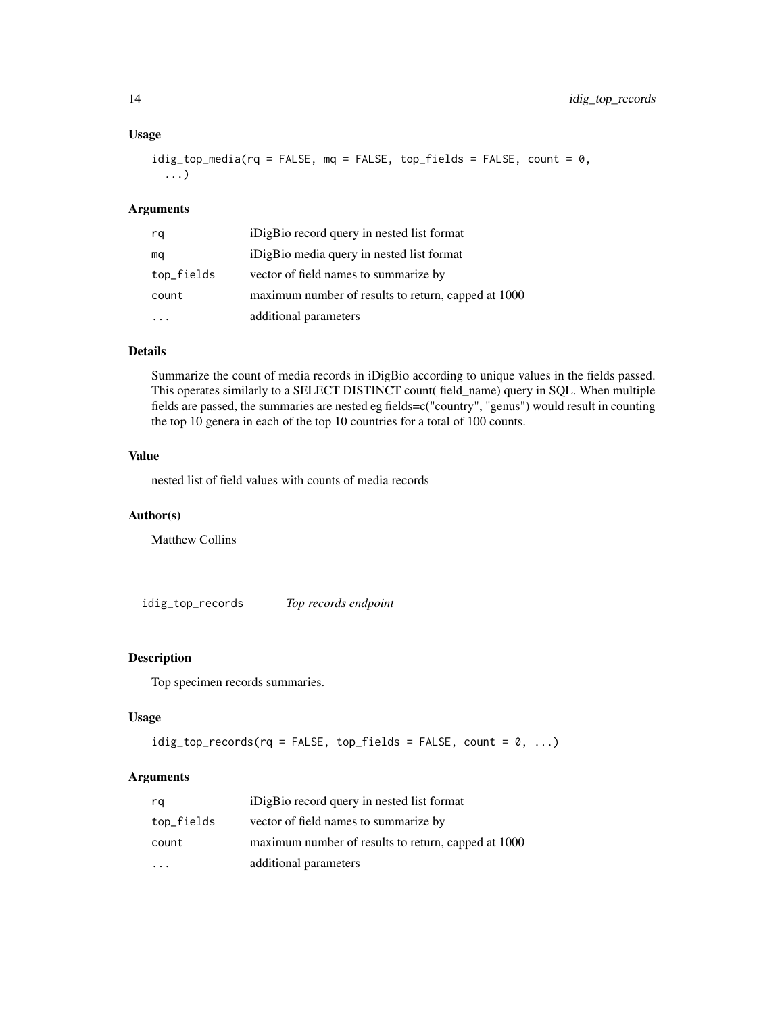#### Usage

```
idig_top_media(rq = FALSE, mq = FALSE, top_fields = FALSE, count = 0,...)
```
#### Arguments

| rq         | iDigBio record query in nested list format          |
|------------|-----------------------------------------------------|
| mq         | iDigBio media query in nested list format           |
| top_fields | vector of field names to summarize by               |
| count      | maximum number of results to return, capped at 1000 |
|            | additional parameters                               |

#### Details

Summarize the count of media records in iDigBio according to unique values in the fields passed. This operates similarly to a SELECT DISTINCT count( field\_name) query in SQL. When multiple fields are passed, the summaries are nested eg fields=c("country", "genus") would result in counting the top 10 genera in each of the top 10 countries for a total of 100 counts.

#### Value

nested list of field values with counts of media records

#### Author(s)

Matthew Collins

idig\_top\_records *Top records endpoint*

#### Description

Top specimen records summaries.

#### Usage

```
idig_top_records(rq = FALSE, top_fields = FALSE, count = 0, ...)
```
#### Arguments

| rq         | iDigBio record query in nested list format          |
|------------|-----------------------------------------------------|
| top_fields | vector of field names to summarize by               |
| count      | maximum number of results to return, capped at 1000 |
|            | additional parameters                               |

<span id="page-13-0"></span>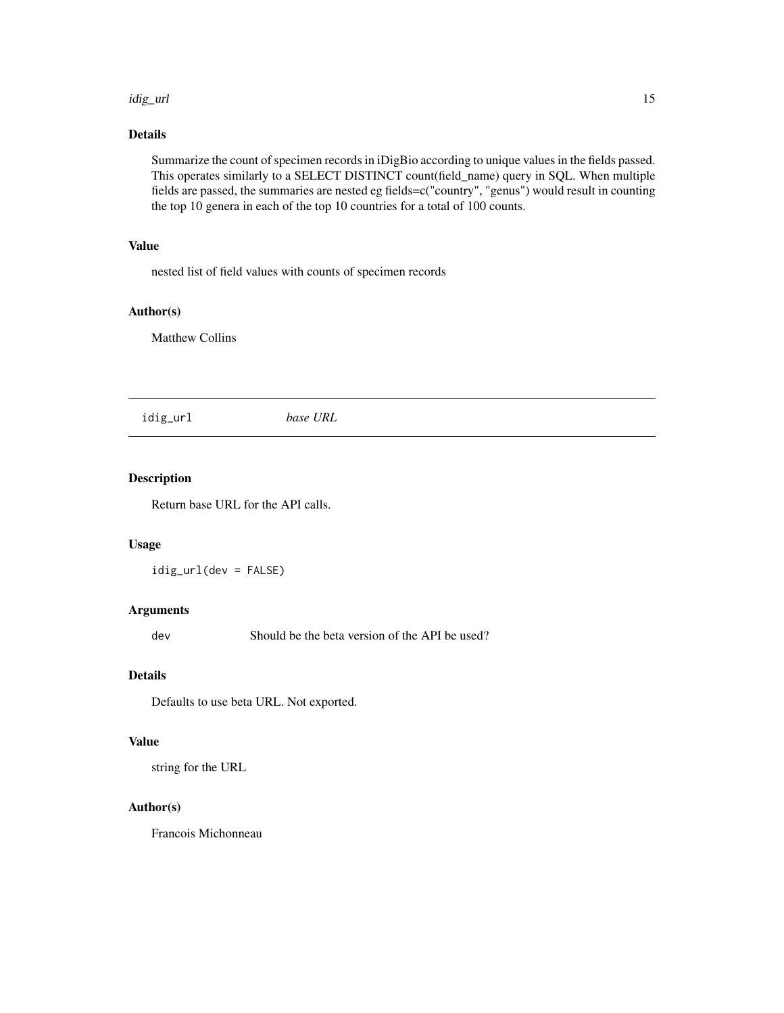#### <span id="page-14-0"></span>idig\_url 15

# Details

Summarize the count of specimen records in iDigBio according to unique values in the fields passed. This operates similarly to a SELECT DISTINCT count(field\_name) query in SQL. When multiple fields are passed, the summaries are nested eg fields=c("country", "genus") would result in counting the top 10 genera in each of the top 10 countries for a total of 100 counts.

# Value

nested list of field values with counts of specimen records

## Author(s)

Matthew Collins

idig\_url *base URL*

# Description

Return base URL for the API calls.

#### Usage

idig\_url(dev = FALSE)

#### Arguments

dev Should be the beta version of the API be used?

#### Details

Defaults to use beta URL. Not exported.

# Value

string for the URL

#### Author(s)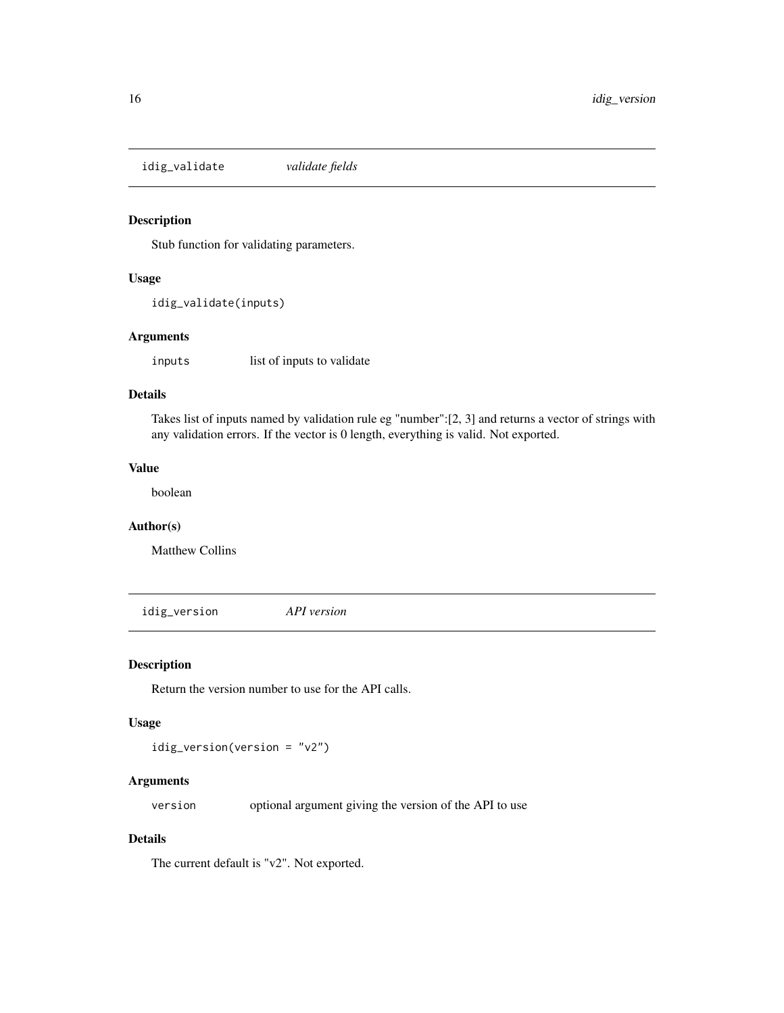<span id="page-15-0"></span>idig\_validate *validate fields*

#### Description

Stub function for validating parameters.

#### Usage

```
idig_validate(inputs)
```
#### Arguments

inputs list of inputs to validate

#### Details

Takes list of inputs named by validation rule eg "number":[2, 3] and returns a vector of strings with any validation errors. If the vector is 0 length, everything is valid. Not exported.

#### Value

boolean

#### Author(s)

Matthew Collins

idig\_version *API version*

#### Description

Return the version number to use for the API calls.

#### Usage

idig\_version(version = "v2")

#### Arguments

version optional argument giving the version of the API to use

# Details

The current default is "v2". Not exported.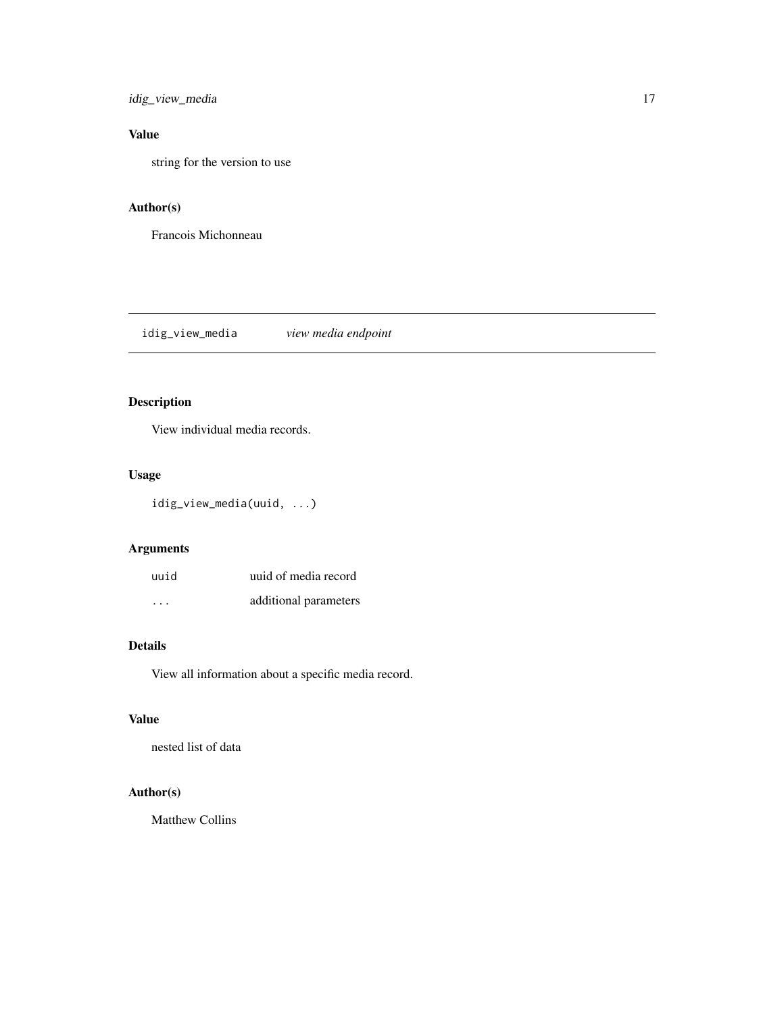<span id="page-16-0"></span>idig\_view\_media 17

# Value

string for the version to use

# Author(s)

Francois Michonneau

idig\_view\_media *view media endpoint*

# Description

View individual media records.

#### Usage

idig\_view\_media(uuid, ...)

# Arguments

| uuid     | uuid of media record  |
|----------|-----------------------|
| $\cdots$ | additional parameters |

#### Details

View all information about a specific media record.

#### Value

nested list of data

# Author(s)

Matthew Collins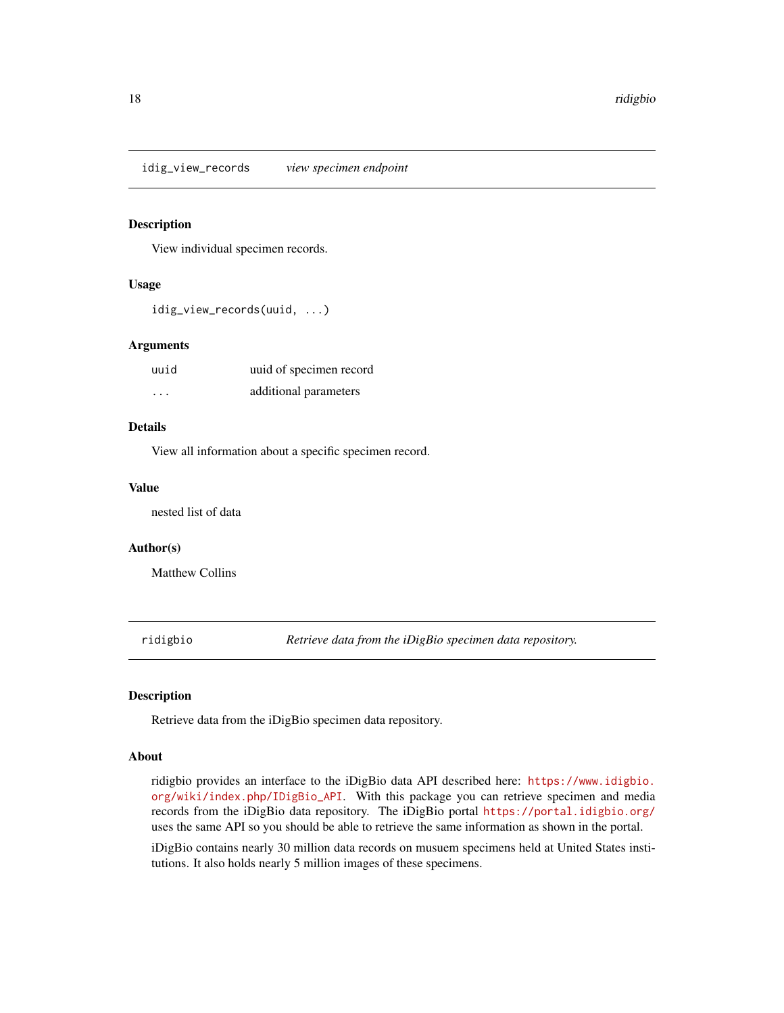<span id="page-17-0"></span>idig\_view\_records *view specimen endpoint*

#### Description

View individual specimen records.

#### Usage

idig\_view\_records(uuid, ...)

#### Arguments

| uuid    | uuid of specimen record |
|---------|-------------------------|
| $\cdot$ | additional parameters   |

#### Details

View all information about a specific specimen record.

#### Value

nested list of data

#### Author(s)

Matthew Collins

ridigbio *Retrieve data from the iDigBio specimen data repository.*

#### Description

Retrieve data from the iDigBio specimen data repository.

#### About

ridigbio provides an interface to the iDigBio data API described here: [https://www.idigbio.](https://www.idigbio.org/wiki/index.php/IDigBio_API) [org/wiki/index.php/IDigBio\\_API](https://www.idigbio.org/wiki/index.php/IDigBio_API). With this package you can retrieve specimen and media records from the iDigBio data repository. The iDigBio portal <https://portal.idigbio.org/> uses the same API so you should be able to retrieve the same information as shown in the portal.

iDigBio contains nearly 30 million data records on musuem specimens held at United States institutions. It also holds nearly 5 million images of these specimens.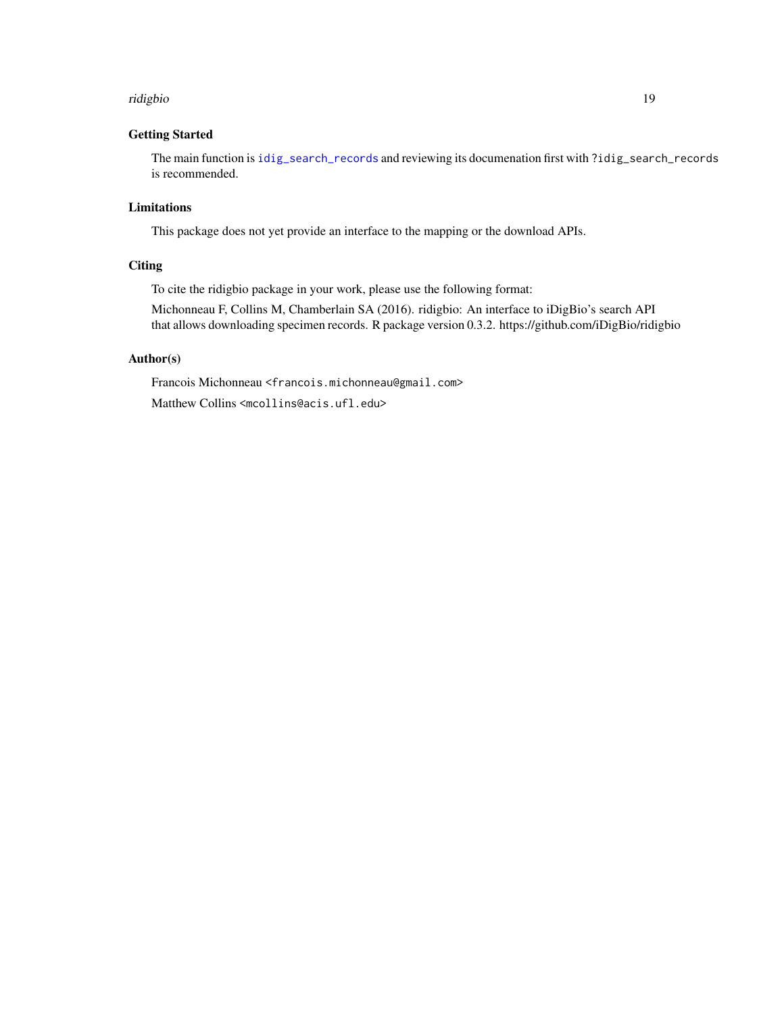#### <span id="page-18-0"></span>ridigbio 19

#### Getting Started

The main function is [idig\\_search\\_records](#page-10-1) and reviewing its documenation first with ?idig\_search\_records is recommended.

### Limitations

This package does not yet provide an interface to the mapping or the download APIs.

#### **Citing**

To cite the ridigbio package in your work, please use the following format:

Michonneau F, Collins M, Chamberlain SA (2016). ridigbio: An interface to iDigBio's search API that allows downloading specimen records. R package version 0.3.2. https://github.com/iDigBio/ridigbio

### Author(s)

Francois Michonneau <francois.michonneau@gmail.com>

Matthew Collins <mcollins@acis.ufl.edu>